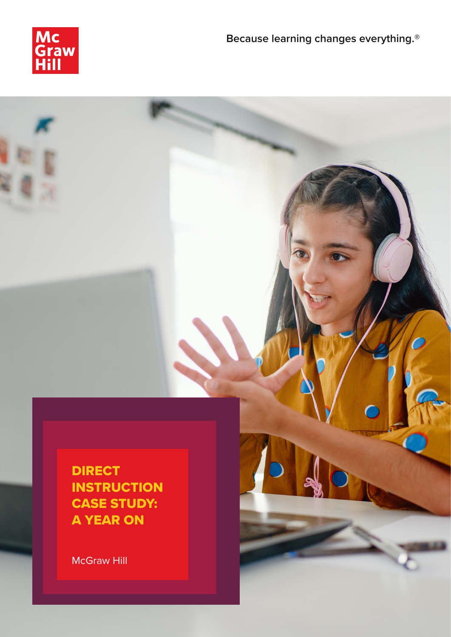

**DIRECT INSTRUCTION** CASE STUDY: A YEAR ON

McGraw Hill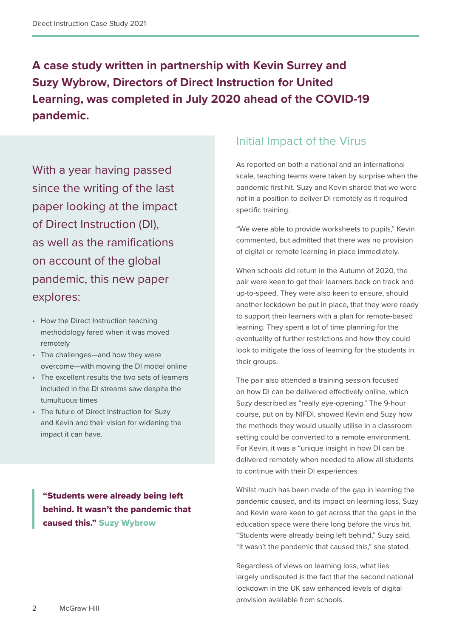**A case study written in partnership with Kevin Surrey and Suzy Wybrow, Directors of Direct Instruction for United Learning, was completed in July 2020 ahead of the COVID-19 pandemic.**

With a year having passed since the writing of the last paper looking at the impact of Direct Instruction (DI), as well as the ramifications on account of the global pandemic, this new paper explores:

- How the Direct Instruction teaching methodology fared when it was moved remotely
- The challenges—and how they were overcome—with moving the DI model online
- The excellent results the two sets of learners included in the DI streams saw despite the tumultuous times
- The future of Direct Instruction for Suzy and Kevin and their vision for widening the impact it can have.

"Students were already being left behind. It wasn't the pandemic that caused this." Suzy Wybrow

#### Initial Impact of the Virus

As reported on both a national and an international scale, teaching teams were taken by surprise when the pandemic first hit. Suzy and Kevin shared that we were not in a position to deliver DI remotely as it required specific training.

"We were able to provide worksheets to pupils," Kevin commented, but admitted that there was no provision of digital or remote learning in place immediately.

When schools did return in the Autumn of 2020, the pair were keen to get their learners back on track and up-to-speed. They were also keen to ensure, should another lockdown be put in place, that they were ready to support their learners with a plan for remote-based learning. They spent a lot of time planning for the eventuality of further restrictions and how they could look to mitigate the loss of learning for the students in their groups.

The pair also attended a training session focused on how DI can be delivered effectively online, which Suzy described as "really eye-opening." The 9-hour course, put on by NIFDI, showed Kevin and Suzy how the methods they would usually utilise in a classroom setting could be converted to a remote environment. For Kevin, it was a "unique insight in how DI can be delivered remotely when needed to allow all students to continue with their DI experiences.

Whilst much has been made of the gap in learning the pandemic caused, and its impact on learning loss, Suzy and Kevin were keen to get across that the gaps in the education space were there long before the virus hit. "Students were already being left behind," Suzy said. "It wasn't the pandemic that caused this," she stated.

Regardless of views on learning loss, what lies largely undisputed is the fact that the second national lockdown in the UK saw enhanced levels of digital provision available from schools.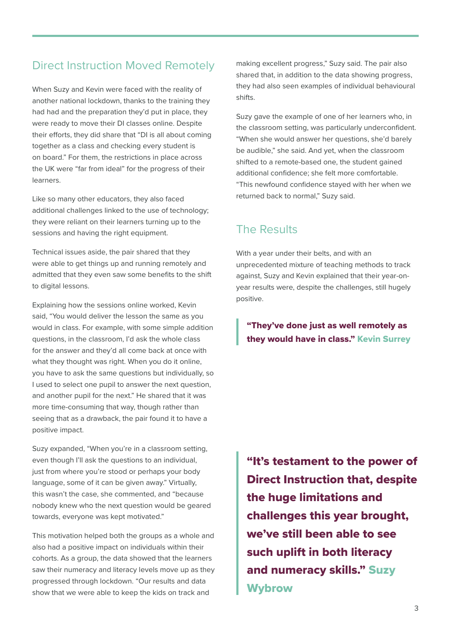## Direct Instruction Moved Remotely

When Suzy and Kevin were faced with the reality of another national lockdown, thanks to the training they had had and the preparation they'd put in place, they were ready to move their DI classes online. Despite their efforts, they did share that "DI is all about coming together as a class and checking every student is on board." For them, the restrictions in place across the UK were "far from ideal" for the progress of their learners.

Like so many other educators, they also faced additional challenges linked to the use of technology; they were reliant on their learners turning up to the sessions and having the right equipment.

Technical issues aside, the pair shared that they were able to get things up and running remotely and admitted that they even saw some benefits to the shift to digital lessons.

Explaining how the sessions online worked, Kevin said, "You would deliver the lesson the same as you would in class. For example, with some simple addition questions, in the classroom, I'd ask the whole class for the answer and they'd all come back at once with what they thought was right. When you do it online, you have to ask the same questions but individually, so I used to select one pupil to answer the next question, and another pupil for the next." He shared that it was more time-consuming that way, though rather than seeing that as a drawback, the pair found it to have a positive impact.

Suzy expanded, "When you're in a classroom setting, even though I'll ask the questions to an individual, just from where you're stood or perhaps your body language, some of it can be given away." Virtually, this wasn't the case, she commented, and "because nobody knew who the next question would be geared towards, everyone was kept motivated."

This motivation helped both the groups as a whole and also had a positive impact on individuals within their cohorts. As a group, the data showed that the learners saw their numeracy and literacy levels move up as they progressed through lockdown. "Our results and data show that we were able to keep the kids on track and

making excellent progress," Suzy said. The pair also shared that, in addition to the data showing progress, they had also seen examples of individual behavioural shifts.

Suzy gave the example of one of her learners who, in the classroom setting, was particularly underconfident. "When she would answer her questions, she'd barely be audible," she said. And yet, when the classroom shifted to a remote-based one, the student gained additional confidence; she felt more comfortable. "This newfound confidence stayed with her when we returned back to normal," Suzy said.

### The Results

With a year under their belts, and with an unprecedented mixture of teaching methods to track against, Suzy and Kevin explained that their year-onyear results were, despite the challenges, still hugely positive.

"They've done just as well remotely as they would have in class." Kevin Surrey

"It's testament to the power of Direct Instruction that, despite the huge limitations and challenges this year brought, we've still been able to see such uplift in both literacy and numeracy skills." Suzy Wybrow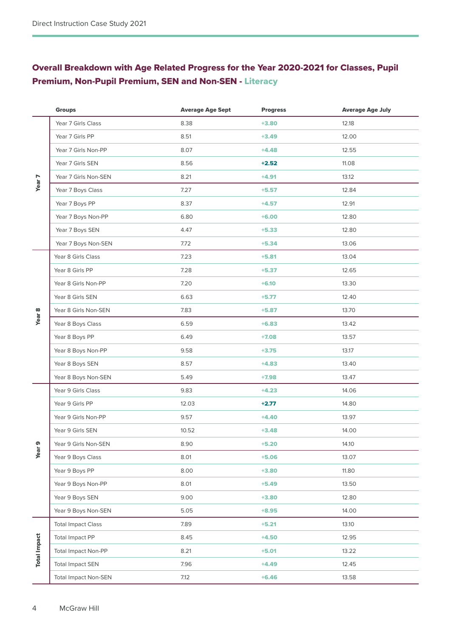#### Overall Breakdown with Age Related Progress for the Year 2020-2021 for Classes, Pupil Premium, Non-Pupil Premium, SEN and Non-SEN - Literacy

|                     | <b>Groups</b>               | <b>Average Age Sept</b> | <b>Progress</b> | <b>Average Age July</b> |
|---------------------|-----------------------------|-------------------------|-----------------|-------------------------|
| Year 7              | Year 7 Girls Class          | 8.38                    | $+3.80$         | 12.18                   |
|                     | Year 7 Girls PP             | 8.51                    | $+3.49$         | 12.00                   |
|                     | Year 7 Girls Non-PP         | 8.07                    | $+4.48$         | 12.55                   |
|                     | Year 7 Girls SEN            | 8.56                    | $+2.52$         | 11.08                   |
|                     | Year 7 Girls Non-SEN        | 8.21                    | $+4.91$         | 13.12                   |
|                     | Year 7 Boys Class           | 7.27                    | $+5.57$         | 12.84                   |
|                     | Year 7 Boys PP              | 8.37                    | $+4.57$         | 12.91                   |
|                     | Year 7 Boys Non-PP          | 6.80                    | $+6.00$         | 12.80                   |
|                     | Year 7 Boys SEN             | 4.47                    | $+5.33$         | 12.80                   |
|                     | Year 7 Boys Non-SEN         | 7.72                    | $+5.34$         | 13.06                   |
| <b>Year 8</b>       | Year 8 Girls Class          | 7.23                    | $+5.81$         | 13.04                   |
|                     | Year 8 Girls PP             | 7.28                    | $+5.37$         | 12.65                   |
|                     | Year 8 Girls Non-PP         | 7.20                    | $+6.10$         | 13.30                   |
|                     | Year 8 Girls SEN            | 6.63                    | $+5.77$         | 12.40                   |
|                     | Year 8 Girls Non-SEN        | 7.83                    | $+5.87$         | 13.70                   |
|                     | Year 8 Boys Class           | 6.59                    | $+6.83$         | 13.42                   |
|                     | Year 8 Boys PP              | 6.49                    | $+7.08$         | 13.57                   |
|                     | Year 8 Boys Non-PP          | 9.58                    | $+3.75$         | 13.17                   |
|                     | Year 8 Boys SEN             | 8.57                    | $+4.83$         | 13.40                   |
|                     | Year 8 Boys Non-SEN         | 5.49                    | $+7.98$         | 13.47                   |
| Year <sub>9</sub>   | Year 9 Girls Class          | 9.83                    | $+4.23$         | 14.06                   |
|                     | Year 9 Girls PP             | 12.03                   | $+2.77$         | 14.80                   |
|                     | Year 9 Girls Non-PP         | 9.57                    | $+4.40$         | 13.97                   |
|                     | Year 9 Girls SEN            | 10.52                   | $+3.48$         | 14.00                   |
|                     | Year 9 Girls Non-SEN        | 8.90                    | $+5.20$         | 14.10                   |
|                     | Year 9 Boys Class           | 8.01                    | $+5.06$         | 13.07                   |
|                     | Year 9 Boys PP              | 8.00                    | $+3.80$         | 11.80                   |
|                     | Year 9 Boys Non-PP          | 8.01                    | $+5.49$         | 13.50                   |
|                     | Year 9 Boys SEN             | 9.00                    | $+3.80$         | 12.80                   |
|                     | Year 9 Boys Non-SEN         | 5.05                    | $+8.95$         | 14.00                   |
| <b>Total Impact</b> | <b>Total Impact Class</b>   | 7.89                    | $+5.21$         | 13.10                   |
|                     | Total Impact PP             | 8.45                    | $+4.50$         | 12.95                   |
|                     | <b>Total Impact Non-PP</b>  | 8.21                    | $+5.01$         | 13.22                   |
|                     | <b>Total Impact SEN</b>     | 7.96                    | $+4.49$         | 12.45                   |
|                     | <b>Total Impact Non-SEN</b> | 7.12                    | $+6.46$         | 13.58                   |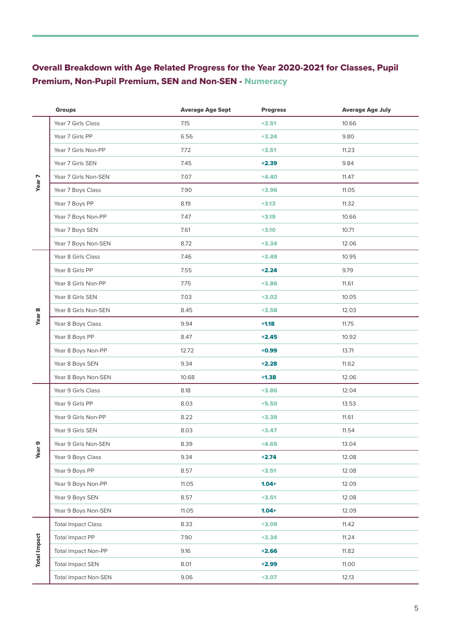#### Overall Breakdown with Age Related Progress for the Year 2020-2021 for Classes, Pupil Premium, Non-Pupil Premium, SEN and Non-SEN - Numeracy

|                     | <b>Groups</b>               | <b>Average Age Sept</b> | <b>Progress</b> | <b>Average Age July</b> |
|---------------------|-----------------------------|-------------------------|-----------------|-------------------------|
| Year 7              | Year 7 Girls Class          | 7.15                    | $+3.51$         | 10.66                   |
|                     | Year 7 Girls PP             | 6.56                    | $+3.24$         | 9.80                    |
|                     | Year 7 Girls Non-PP         | 7.72                    | $+3,51$         | 11.23                   |
|                     | Year 7 Girls SEN            | 7.45                    | $+2.39$         | 9.84                    |
|                     | Year 7 Girls Non-SEN        | 7.07                    | $+4.40$         | 11.47                   |
|                     | Year 7 Boys Class           | 7.90                    | $+3.96$         | 11.05                   |
|                     | Year 7 Boys PP              | 8.19                    | $+3.13$         | 11.32                   |
|                     | Year 7 Boys Non-PP          | 7.47                    | $+3.19$         | 10.66                   |
|                     | Year 7 Boys SEN             | 7.61                    | $+3.10$         | 10.71                   |
|                     | Year 7 Boys Non-SEN         | 8.72                    | $+3.34$         | 12.06                   |
| <b>Year 8</b>       | Year 8 Girls Class          | 7.46                    | $+3.49$         | 10.95                   |
|                     | Year 8 Girls PP             | 7.55                    | $+2.24$         | 9.79                    |
|                     | Year 8 Girls Non-PP         | 7.75                    | $+3.86$         | 11.61                   |
|                     | Year 8 Girls SEN            | 7.03                    | $+3.02$         | 10.05                   |
|                     | Year 8 Girls Non-SEN        | 8.45                    | $+3.58$         | 12.03                   |
|                     | Year 8 Boys Class           | 9.94                    | $+1.18$         | 11.75                   |
|                     | Year 8 Boys PP              | 8.47                    | $+2.45$         | 10.92                   |
|                     | Year 8 Boys Non-PP          | 12.72                   | $+0.99$         | 13.71                   |
|                     | Year 8 Boys SEN             | 9.34                    | $+2.28$         | 11.62                   |
|                     | Year 8 Boys Non-SEN         | 10.68                   | $+1.38$         | 12.06                   |
| Year <sub>9</sub>   | Year 9 Girls Class          | 8.18                    | $+3.86$         | 12.04                   |
|                     | Year 9 Girls PP             | 8.03                    | $+5.50$         | 13.53                   |
|                     | Year 9 Girls Non-PP         | 8.22                    | $+3.39$         | 11.61                   |
|                     | Year 9 Girls SEN            | 8.03                    | $+3.47$         | 11.54                   |
|                     | Year 9 Girls Non-SEN        | 8.39                    | $+4.65$         | 13.04                   |
|                     | Year 9 Boys Class           | 9.34                    | $+2.74$         | 12.08                   |
|                     | Year 9 Boys PP              | 8.57                    | $+3.51$         | 12.08                   |
|                     | Year 9 Boys Non-PP          | 11.05                   | $1.04 +$        | 12.09                   |
|                     | Year 9 Boys SEN             | 8.57                    | $+3.51$         | 12.08                   |
|                     | Year 9 Boys Non-SEN         | 11.05                   | $1.04 +$        | 12.09                   |
| <b>Total Impact</b> | <b>Total Impact Class</b>   | 8.33                    | $+3.09$         | 11.42                   |
|                     | Total Impact PP             | 7.90                    | $+3.34$         | 11.24                   |
|                     | <b>Total Impact Non-PP</b>  | 9.16                    | $+2.66$         | 11.82                   |
|                     | <b>Total Impact SEN</b>     | 8.01                    | $+2.99$         | 11.00                   |
|                     | <b>Total Impact Non-SEN</b> | 9.06                    | $+3.07$         | 12.13                   |